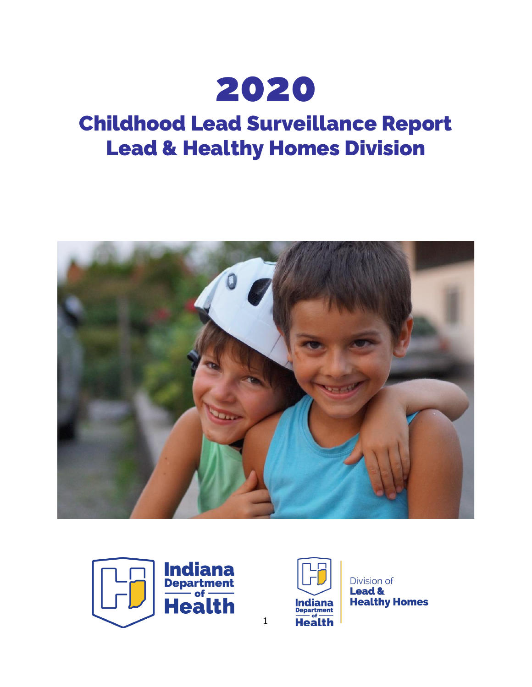

# Childhood Lead Surveillance Report Lead & Healthy Homes Division







Division of **Lead & Healthy Homes** 

1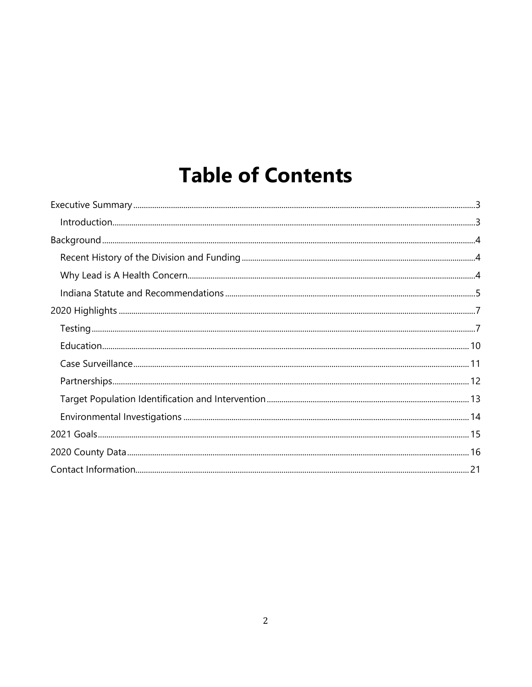# **Table of Contents**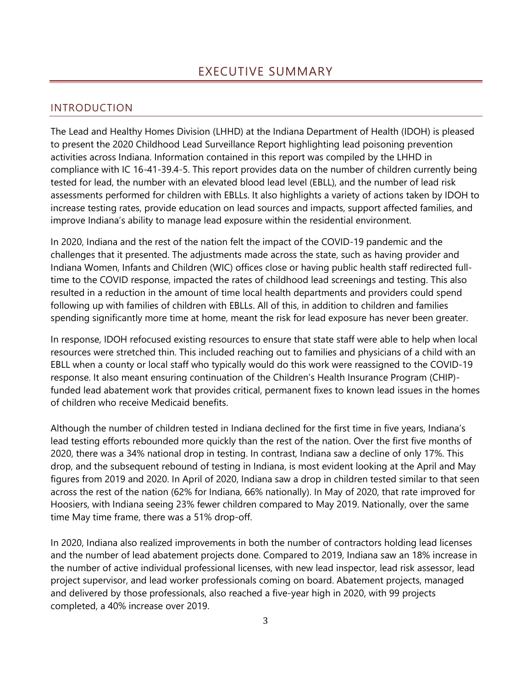### <span id="page-2-1"></span><span id="page-2-0"></span>INTRODUCTION

The Lead and Healthy Homes Division (LHHD) at the Indiana Department of Health (IDOH) is pleased to present the 2020 Childhood Lead Surveillance Report highlighting lead poisoning prevention activities across Indiana. Information contained in this report was compiled by the LHHD in compliance with IC 16-41-39.4-5. This report provides data on the number of children currently being tested for lead, the number with an elevated blood lead level (EBLL), and the number of lead risk assessments performed for children with EBLLs. It also highlights a variety of actions taken by IDOH to increase testing rates, provide education on lead sources and impacts, support affected families, and improve Indiana's ability to manage lead exposure within the residential environment.

In 2020, Indiana and the rest of the nation felt the impact of the COVID-19 pandemic and the challenges that it presented. The adjustments made across the state, such as having provider and Indiana Women, Infants and Children (WIC) offices close or having public health staff redirected fulltime to the COVID response, impacted the rates of childhood lead screenings and testing. This also resulted in a reduction in the amount of time local health departments and providers could spend following up with families of children with EBLLs. All of this, in addition to children and families spending significantly more time at home, meant the risk for lead exposure has never been greater.

In response, IDOH refocused existing resources to ensure that state staff were able to help when local resources were stretched thin. This included reaching out to families and physicians of a child with an EBLL when a county or local staff who typically would do this work were reassigned to the COVID-19 response. It also meant ensuring continuation of the Children's Health Insurance Program (CHIP) funded lead abatement work that provides critical, permanent fixes to known lead issues in the homes of children who receive Medicaid benefits.

Although the number of children tested in Indiana declined for the first time in five years, Indiana's lead testing efforts rebounded more quickly than the rest of the nation. Over the first five months of 2020, there was a 34% national drop in testing. In contrast, Indiana saw a decline of only 17%. This drop, and the subsequent rebound of testing in Indiana, is most evident looking at the April and May figures from 2019 and 2020. In April of 2020, Indiana saw a drop in children tested similar to that seen across the rest of the nation (62% for Indiana, 66% nationally). In May of 2020, that rate improved for Hoosiers, with Indiana seeing 23% fewer children compared to May 2019. Nationally, over the same time May time frame, there was a 51% drop-off.

In 2020, Indiana also realized improvements in both the number of contractors holding lead licenses and the number of lead abatement projects done. Compared to 2019, Indiana saw an 18% increase in the number of active individual professional licenses, with new lead inspector, lead risk assessor, lead project supervisor, and lead worker professionals coming on board. Abatement projects, managed and delivered by those professionals, also reached a five-year high in 2020, with 99 projects completed, a 40% increase over 2019.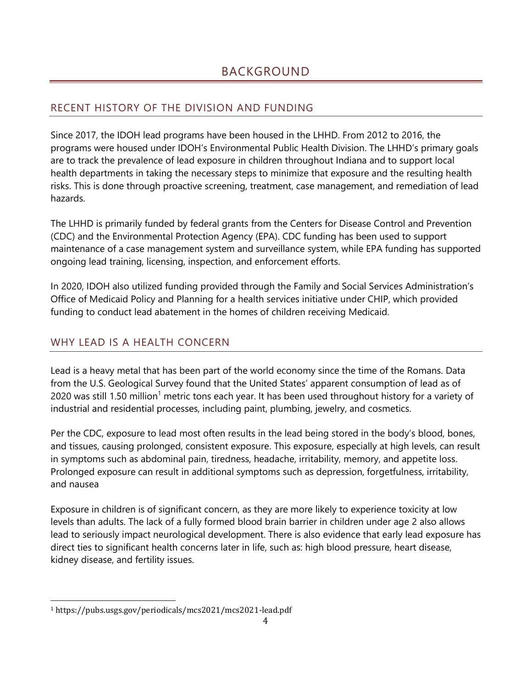# <span id="page-3-1"></span><span id="page-3-0"></span>RECENT HISTORY OF THE DIVISION AND FUNDING

Since 2017, the IDOH lead programs have been housed in the LHHD. From 2012 to 2016, the programs were housed under IDOH's Environmental Public Health Division. The LHHD's primary goals are to track the prevalence of lead exposure in children throughout Indiana and to support local health departments in taking the necessary steps to minimize that exposure and the resulting health risks. This is done through proactive screening, treatment, case management, and remediation of lead hazards.

The LHHD is primarily funded by federal grants from the Centers for Disease Control and Prevention (CDC) and the Environmental Protection Agency (EPA). CDC funding has been used to support maintenance of a case management system and surveillance system, while EPA funding has supported ongoing lead training, licensing, inspection, and enforcement efforts.

In 2020, IDOH also utilized funding provided through the Family and Social Services Administration's Office of Medicaid Policy and Planning for a health services initiative under CHIP, which provided funding to conduct lead abatement in the homes of children receiving Medicaid.

# <span id="page-3-2"></span>WHY LEAD IS A HEALTH CONCERN

Lead is a heavy metal that has been part of the world economy since the time of the Romans. Data from the U.S. Geological Survey found that the United States' apparent consumption of lead as of 2020 was still 1.50 million<sup>1</sup> metric tons each year. It has been used throughout history for a variety of industrial and residential processes, including paint, plumbing, jewelry, and cosmetics.

Per the CDC, exposure to lead most often results in the lead being stored in the body's blood, bones, and tissues, causing prolonged, consistent exposure. This exposure, especially at high levels, can result in symptoms such as abdominal pain, tiredness, headache, irritability, memory, and appetite loss. Prolonged exposure can result in additional symptoms such as depression, forgetfulness, irritability, and nausea

Exposure in children is of significant concern, as they are more likely to experience toxicity at low levels than adults. The lack of a fully formed blood brain barrier in children under age 2 also allows lead to seriously impact neurological development. There is also evidence that early lead exposure has direct ties to significant health concerns later in life, such as: high blood pressure, heart disease, kidney disease, and fertility issues.

<sup>1</sup> https://pubs.usgs.gov/periodicals/mcs2021/mcs2021-lead.pdf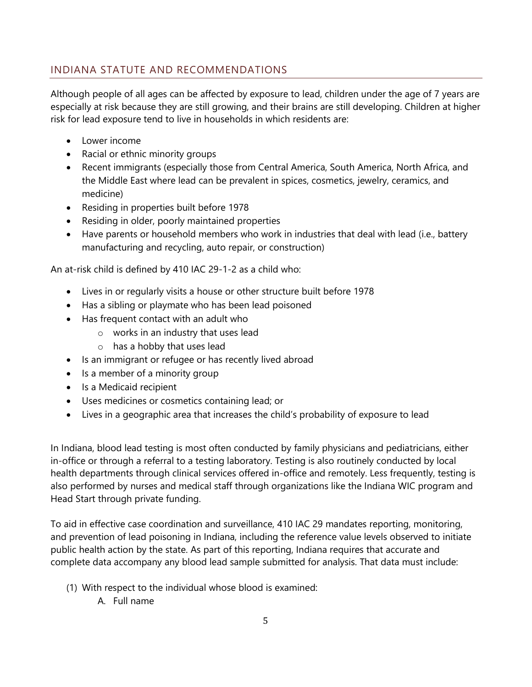# <span id="page-4-0"></span>INDIANA STATUTE AND RECOMMENDATIONS

Although people of all ages can be affected by exposure to lead, children under the age of 7 years are especially at risk because they are still growing, and their brains are still developing. Children at higher risk for lead exposure tend to live in households in which residents are:

- Lower income
- Racial or ethnic minority groups
- Recent immigrants (especially those from Central America, South America, North Africa, and the Middle East where lead can be prevalent in spices, cosmetics, jewelry, ceramics, and medicine)
- Residing in properties built before 1978
- Residing in older, poorly maintained properties
- Have parents or household members who work in industries that deal with lead (i.e., battery manufacturing and recycling, auto repair, or construction)

An at-risk child is defined by 410 IAC 29-1-2 as a child who:

- Lives in or regularly visits a house or other structure built before 1978
- Has a sibling or playmate who has been lead poisoned
- Has frequent contact with an adult who
	- o works in an industry that uses lead
	- o has a hobby that uses lead
- Is an immigrant or refugee or has recently lived abroad
- Is a member of a minority group
- Is a Medicaid recipient
- Uses medicines or cosmetics containing lead; or
- Lives in a geographic area that increases the child's probability of exposure to lead

In Indiana, blood lead testing is most often conducted by family physicians and pediatricians, either in-office or through a referral to a testing laboratory. Testing is also routinely conducted by local health departments through clinical services offered in-office and remotely. Less frequently, testing is also performed by nurses and medical staff through organizations like the Indiana WIC program and Head Start through private funding.

To aid in effective case coordination and surveillance, 410 IAC 29 mandates reporting, monitoring, and prevention of lead poisoning in Indiana, including the reference value levels observed to initiate public health action by the state. As part of this reporting, Indiana requires that accurate and complete data accompany any blood lead sample submitted for analysis. That data must include:

- (1) With respect to the individual whose blood is examined:
	- A. Full name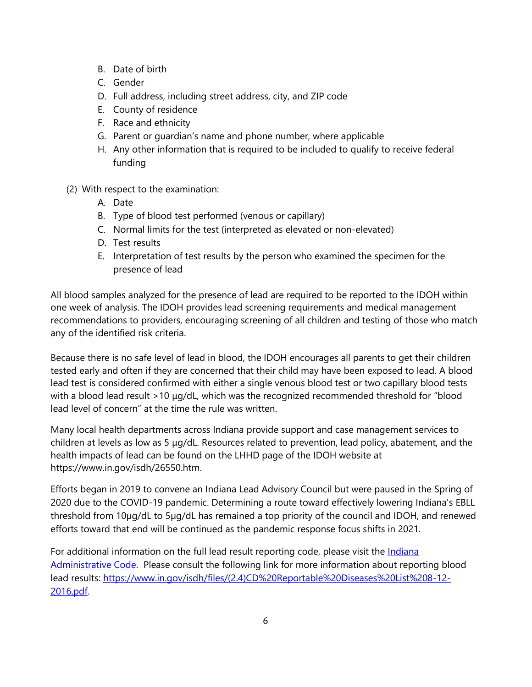- B. Date of birth
- C. Gender
- D. Full address, including street address, city, and ZIP code
- E. County of residence
- F. Race and ethnicity
- G. Parent or guardian's name and phone number, where applicable
- H. Any other information that is required to be included to qualify to receive federal funding
- (2) With respect to the examination:
	- A. Date
	- B. Type of blood test performed (venous or capillary)
	- C. Normal limits for the test (interpreted as elevated or non-elevated)
	- D. Test results
	- E. Interpretation of test results by the person who examined the specimen for the presence of lead

All blood samples analyzed for the presence of lead are required to be reported to the IDOH within one week of analysis. The IDOH provides lead screening requirements and medical management recommendations to providers, encouraging screening of all children and testing of those who match any of the identified risk criteria.

Because there is no safe level of lead in blood, the IDOH encourages all parents to get their children tested early and often if they are concerned that their child may have been exposed to lead. A blood lead test is considered confirmed with either a single venous blood test or two capillary blood tests with a blood lead result  $\geq$ 10 μg/dL, which was the recognized recommended threshold for "blood lead level of concern" at the time the rule was written.

Many local health departments across Indiana provide support and case management services to children at levels as low as 5 μg/dL. Resources related to prevention, lead policy, abatement, and the health impacts of lead can be found on the LHHD page of the IDOH website at https://www.in.gov/isdh/26550.htm.

Efforts began in 2019 to convene an Indiana Lead Advisory Council but were paused in the Spring of 2020 due to the COVID-19 pandemic. Determining a route toward effectively lowering Indiana's EBLL threshold from 10µg/dL to 5µg/dL has remained a top priority of the council and IDOH, and renewed efforts toward that end will be continued as the pandemic response focus shifts in 2021.

For additional information on the full lead result reporting code, please visit the *Indiana* [Administrative Code.](http://www.in.gov/isdh/files/410_IAC_29.pdf) Please consult the following link for more information about reporting blood lead results: [https://www.in.gov/isdh/files/\(2.4\)CD%20Reportable%20Diseases%20List%208-12-](https://www.in.gov/isdh/files/(2.4)CD%20Reportable%20Diseases%20List%208-12-2016.pdf) [2016.pdf.](https://www.in.gov/isdh/files/(2.4)CD%20Reportable%20Diseases%20List%208-12-2016.pdf)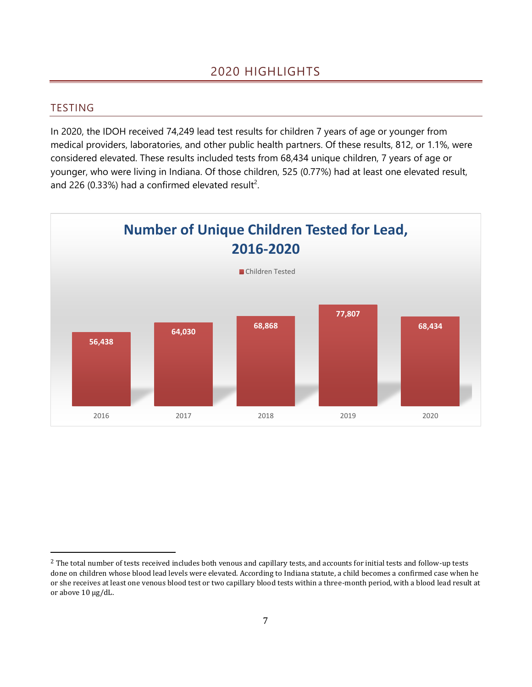#### <span id="page-6-1"></span><span id="page-6-0"></span>TESTING

In 2020, the IDOH received 74,249 lead test results for children 7 years of age or younger from medical providers, laboratories, and other public health partners. Of these results, 812, or 1.1%, were considered elevated. These results included tests from 68,434 unique children, 7 years of age or younger, who were living in Indiana. Of those children, 525 (0.77%) had at least one elevated result, and 226 (0.33%) had a confirmed elevated result<sup>2</sup>.



<sup>&</sup>lt;sup>2</sup> The total number of tests received includes both venous and capillary tests, and accounts for initial tests and follow-up tests done on children whose blood lead levels were elevated. According to Indiana statute, a child becomes a confirmed case when he or she receives at least one venous blood test or two capillary blood tests within a three-month period, with a blood lead result at or above 10 µg/dL.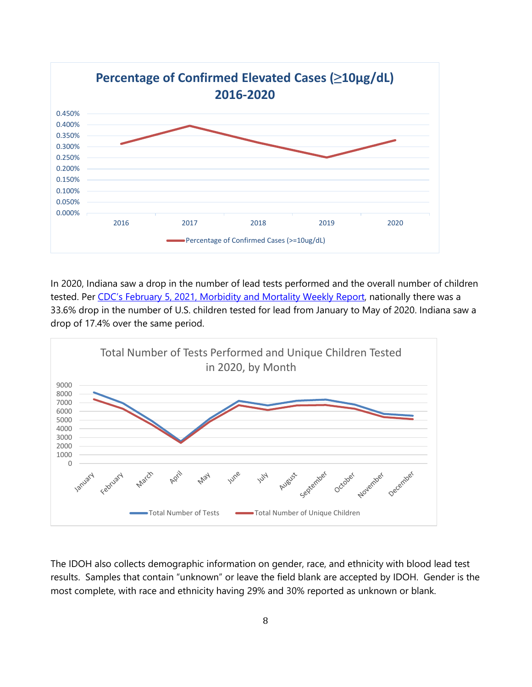

In 2020, Indiana saw a drop in the number of lead tests performed and the overall number of children tested. Per [CDC's February 5, 2021, Morbidity and Mortality Weekly Report](https://www.cdc.gov/mmwr/volumes/70/wr/mm7005a2.htm), nationally there was a 33.6% drop in the number of U.S. children tested for lead from January to May of 2020. Indiana saw a drop of 17.4% over the same period.



The IDOH also collects demographic information on gender, race, and ethnicity with blood lead test results. Samples that contain "unknown" or leave the field blank are accepted by IDOH. Gender is the most complete, with race and ethnicity having 29% and 30% reported as unknown or blank.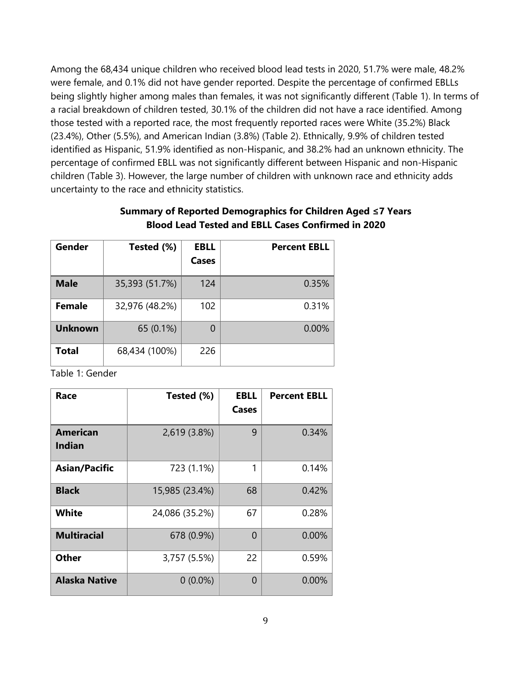Among the 68,434 unique children who received blood lead tests in 2020, 51.7% were male, 48.2% were female, and 0.1% did not have gender reported. Despite the percentage of confirmed EBLLs being slightly higher among males than females, it was not significantly different (Table 1). In terms of a racial breakdown of children tested, 30.1% of the children did not have a race identified. Among those tested with a reported race, the most frequently reported races were White (35.2%) Black (23.4%), Other (5.5%), and American Indian (3.8%) (Table 2). Ethnically, 9.9% of children tested identified as Hispanic, 51.9% identified as non-Hispanic, and 38.2% had an unknown ethnicity. The percentage of confirmed EBLL was not significantly different between Hispanic and non-Hispanic children (Table 3). However, the large number of children with unknown race and ethnicity adds uncertainty to the race and ethnicity statistics.

### **Summary of Reported Demographics for Children Aged ≤7 Years Blood Lead Tested and EBLL Cases Confirmed in 2020**

| <b>Gender</b>  | Tested (%)     | EBLL<br><b>Cases</b> | <b>Percent EBLL</b> |
|----------------|----------------|----------------------|---------------------|
| <b>Male</b>    | 35,393 (51.7%) | 124                  | 0.35%               |
| <b>Female</b>  | 32,976 (48.2%) | 102                  | 0.31%               |
| <b>Unknown</b> | 65 (0.1%)      | 0                    | 0.00%               |
| Total          | 68,434 (100%)  | 226                  |                     |

Table 1: Gender

| Race                      | Tested (%)     | <b>EBLL</b><br>Cases | <b>Percent EBLL</b> |
|---------------------------|----------------|----------------------|---------------------|
| American<br><b>Indian</b> | 2,619 (3.8%)   | 9                    | 0.34%               |
| <b>Asian/Pacific</b>      | 723 (1.1%)     | 1                    | 0.14%               |
| <b>Black</b>              | 15,985 (23.4%) | 68                   | 0.42%               |
| White                     | 24,086 (35.2%) | 67                   | 0.28%               |
| <b>Multiracial</b>        | 678 (0.9%)     | $\Omega$             | $0.00\%$            |
| <b>Other</b>              | 3,757 (5.5%)   | 22                   | 0.59%               |
| <b>Alaska Native</b>      | $0(0.0\%)$     | $\Omega$             | $0.00\%$            |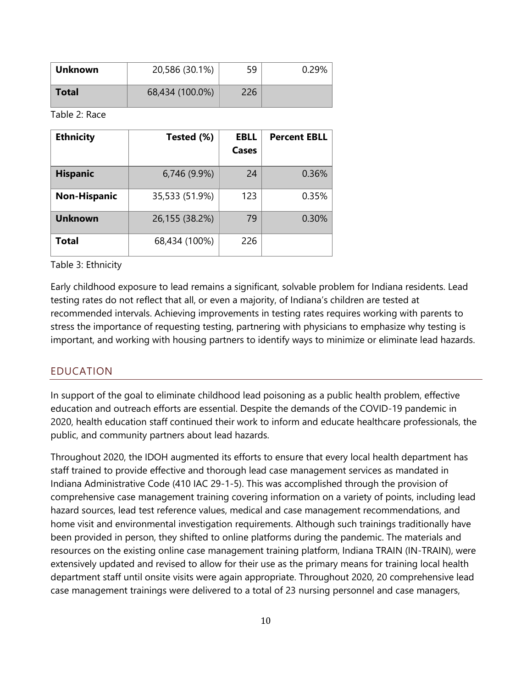| <b>Unknown</b> | 20,586 (30.1%)  | 59  | 0.29% |
|----------------|-----------------|-----|-------|
| Total          | 68,434 (100.0%) | 226 |       |

Table 2: Race

| <b>Ethnicity</b>    | Tested (%)     | <b>EBLL</b><br>Cases | <b>Percent EBLL</b> |
|---------------------|----------------|----------------------|---------------------|
| <b>Hispanic</b>     | 6,746 (9.9%)   | 24                   | 0.36%               |
| <b>Non-Hispanic</b> | 35,533 (51.9%) | 123                  | 0.35%               |
| <b>Unknown</b>      | 26,155 (38.2%) | 79                   | 0.30%               |
| Total               | 68,434 (100%)  | 226                  |                     |

Table 3: Ethnicity

Early childhood exposure to lead remains a significant, solvable problem for Indiana residents. Lead testing rates do not reflect that all, or even a majority, of Indiana's children are tested at recommended intervals. Achieving improvements in testing rates requires working with parents to stress the importance of requesting testing, partnering with physicians to emphasize why testing is important, and working with housing partners to identify ways to minimize or eliminate lead hazards.

#### <span id="page-9-0"></span>EDUCATION

In support of the goal to eliminate childhood lead poisoning as a public health problem, effective education and outreach efforts are essential. Despite the demands of the COVID-19 pandemic in 2020, health education staff continued their work to inform and educate healthcare professionals, the public, and community partners about lead hazards.

Throughout 2020, the IDOH augmented its efforts to ensure that every local health department has staff trained to provide effective and thorough lead case management services as mandated in Indiana Administrative Code (410 IAC 29-1-5). This was accomplished through the provision of comprehensive case management training covering information on a variety of points, including lead hazard sources, lead test reference values, medical and case management recommendations, and home visit and environmental investigation requirements. Although such trainings traditionally have been provided in person, they shifted to online platforms during the pandemic. The materials and resources on the existing online case management training platform, Indiana TRAIN (IN-TRAIN), were extensively updated and revised to allow for their use as the primary means for training local health department staff until onsite visits were again appropriate. Throughout 2020, 20 comprehensive lead case management trainings were delivered to a total of 23 nursing personnel and case managers,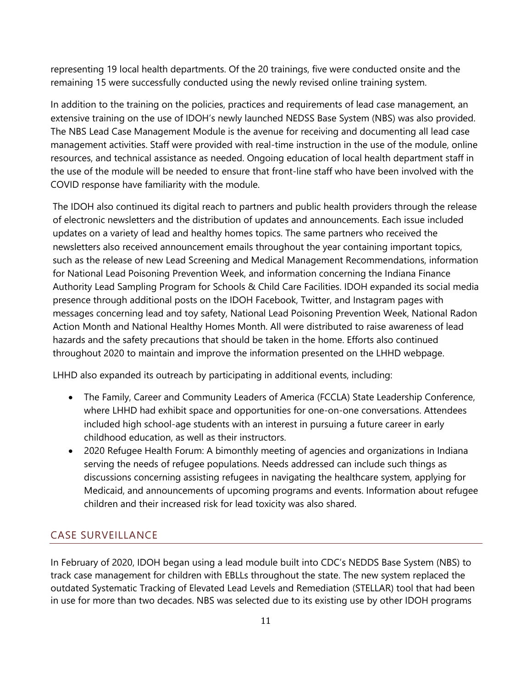representing 19 local health departments. Of the 20 trainings, five were conducted onsite and the remaining 15 were successfully conducted using the newly revised online training system.

In addition to the training on the policies, practices and requirements of lead case management, an extensive training on the use of IDOH's newly launched NEDSS Base System (NBS) was also provided. The NBS Lead Case Management Module is the avenue for receiving and documenting all lead case management activities. Staff were provided with real-time instruction in the use of the module, online resources, and technical assistance as needed. Ongoing education of local health department staff in the use of the module will be needed to ensure that front-line staff who have been involved with the COVID response have familiarity with the module.

The IDOH also continued its digital reach to partners and public health providers through the release of electronic newsletters and the distribution of updates and announcements. Each issue included updates on a variety of lead and healthy homes topics. The same partners who received the newsletters also received announcement emails throughout the year containing important topics, such as the release of new Lead Screening and Medical Management Recommendations, information for National Lead Poisoning Prevention Week, and information concerning the Indiana Finance Authority Lead Sampling Program for Schools & Child Care Facilities. IDOH expanded its social media presence through additional posts on the IDOH Facebook, Twitter, and Instagram pages with messages concerning lead and toy safety, National Lead Poisoning Prevention Week, National Radon Action Month and National Healthy Homes Month. All were distributed to raise awareness of lead hazards and the safety precautions that should be taken in the home. Efforts also continued throughout 2020 to maintain and improve the information presented on the LHHD webpage.

LHHD also expanded its outreach by participating in additional events, including:

- The Family, Career and Community Leaders of America (FCCLA) State Leadership Conference, where LHHD had exhibit space and opportunities for one-on-one conversations. Attendees included high school-age students with an interest in pursuing a future career in early childhood education, as well as their instructors.
- 2020 Refugee Health Forum: A bimonthly meeting of agencies and organizations in Indiana serving the needs of refugee populations. Needs addressed can include such things as discussions concerning assisting refugees in navigating the healthcare system, applying for Medicaid, and announcements of upcoming programs and events. Information about refugee children and their increased risk for lead toxicity was also shared.

## <span id="page-10-0"></span>CASE SURVEILLANCE

In February of 2020, IDOH began using a lead module built into CDC's NEDDS Base System (NBS) to track case management for children with EBLLs throughout the state. The new system replaced the outdated Systematic Tracking of Elevated Lead Levels and Remediation (STELLAR) tool that had been in use for more than two decades. NBS was selected due to its existing use by other IDOH programs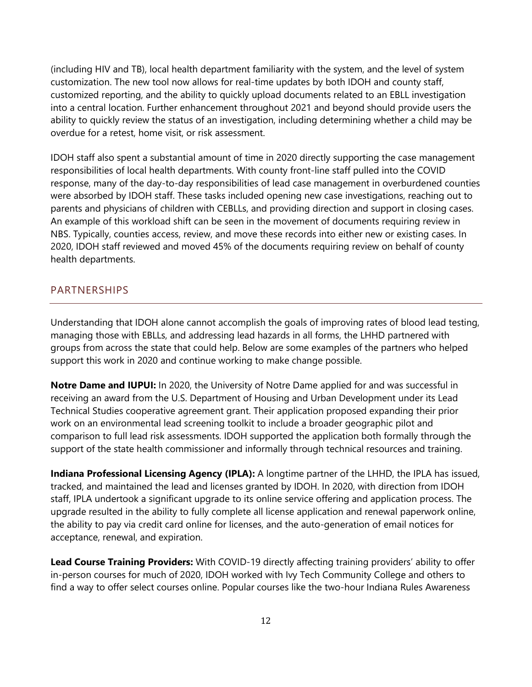(including HIV and TB), local health department familiarity with the system, and the level of system customization. The new tool now allows for real-time updates by both IDOH and county staff, customized reporting, and the ability to quickly upload documents related to an EBLL investigation into a central location. Further enhancement throughout 2021 and beyond should provide users the ability to quickly review the status of an investigation, including determining whether a child may be overdue for a retest, home visit, or risk assessment.

IDOH staff also spent a substantial amount of time in 2020 directly supporting the case management responsibilities of local health departments. With county front-line staff pulled into the COVID response, many of the day-to-day responsibilities of lead case management in overburdened counties were absorbed by IDOH staff. These tasks included opening new case investigations, reaching out to parents and physicians of children with CEBLLs, and providing direction and support in closing cases. An example of this workload shift can be seen in the movement of documents requiring review in NBS. Typically, counties access, review, and move these records into either new or existing cases. In 2020, IDOH staff reviewed and moved 45% of the documents requiring review on behalf of county health departments.

#### <span id="page-11-0"></span>PARTNERSHIPS

Understanding that IDOH alone cannot accomplish the goals of improving rates of blood lead testing, managing those with EBLLs, and addressing lead hazards in all forms, the LHHD partnered with groups from across the state that could help. Below are some examples of the partners who helped support this work in 2020 and continue working to make change possible.

**Notre Dame and IUPUI:** In 2020, the University of Notre Dame applied for and was successful in receiving an award from the U.S. Department of Housing and Urban Development under its Lead Technical Studies cooperative agreement grant. Their application proposed expanding their prior work on an environmental lead screening toolkit to include a broader geographic pilot and comparison to full lead risk assessments. IDOH supported the application both formally through the support of the state health commissioner and informally through technical resources and training.

**Indiana Professional Licensing Agency (IPLA):** A longtime partner of the LHHD, the IPLA has issued, tracked, and maintained the lead and licenses granted by IDOH. In 2020, with direction from IDOH staff, IPLA undertook a significant upgrade to its online service offering and application process. The upgrade resulted in the ability to fully complete all license application and renewal paperwork online, the ability to pay via credit card online for licenses, and the auto-generation of email notices for acceptance, renewal, and expiration.

**Lead Course Training Providers:** With COVID-19 directly affecting training providers' ability to offer in-person courses for much of 2020, IDOH worked with Ivy Tech Community College and others to find a way to offer select courses online. Popular courses like the two-hour Indiana Rules Awareness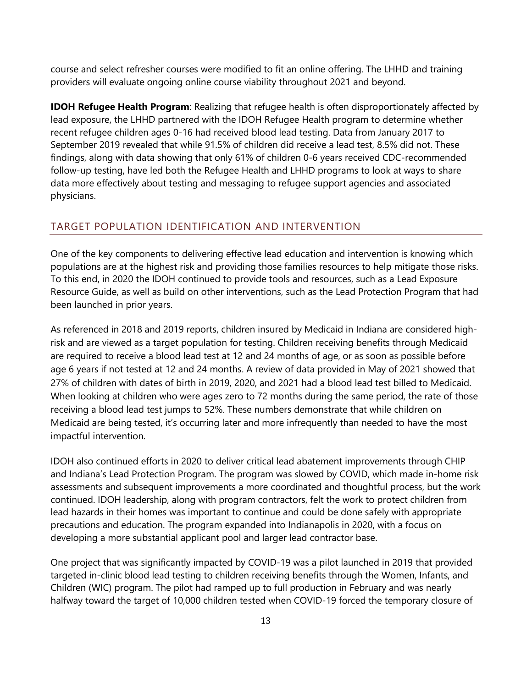course and select refresher courses were modified to fit an online offering. The LHHD and training providers will evaluate ongoing online course viability throughout 2021 and beyond.

**IDOH Refugee Health Program**: Realizing that refugee health is often disproportionately affected by lead exposure, the LHHD partnered with the IDOH Refugee Health program to determine whether recent refugee children ages 0-16 had received blood lead testing. Data from January 2017 to September 2019 revealed that while 91.5% of children did receive a lead test, 8.5% did not. These findings, along with data showing that only 61% of children 0-6 years received CDC-recommended follow-up testing, have led both the Refugee Health and LHHD programs to look at ways to share data more effectively about testing and messaging to refugee support agencies and associated physicians.

#### <span id="page-12-0"></span>TARGET POPULATION IDENTIFICATION AND INTERVENTION

One of the key components to delivering effective lead education and intervention is knowing which populations are at the highest risk and providing those families resources to help mitigate those risks. To this end, in 2020 the IDOH continued to provide tools and resources, such as a Lead Exposure Resource Guide, as well as build on other interventions, such as the Lead Protection Program that had been launched in prior years.

As referenced in 2018 and 2019 reports, children insured by Medicaid in Indiana are considered highrisk and are viewed as a target population for testing. Children receiving benefits through Medicaid are required to receive a blood lead test at 12 and 24 months of age, or as soon as possible before age 6 years if not tested at 12 and 24 months. A review of data provided in May of 2021 showed that 27% of children with dates of birth in 2019, 2020, and 2021 had a blood lead test billed to Medicaid. When looking at children who were ages zero to 72 months during the same period, the rate of those receiving a blood lead test jumps to 52%. These numbers demonstrate that while children on Medicaid are being tested, it's occurring later and more infrequently than needed to have the most impactful intervention.

IDOH also continued efforts in 2020 to deliver critical lead abatement improvements through CHIP and Indiana's Lead Protection Program. The program was slowed by COVID, which made in-home risk assessments and subsequent improvements a more coordinated and thoughtful process, but the work continued. IDOH leadership, along with program contractors, felt the work to protect children from lead hazards in their homes was important to continue and could be done safely with appropriate precautions and education. The program expanded into Indianapolis in 2020, with a focus on developing a more substantial applicant pool and larger lead contractor base.

One project that was significantly impacted by COVID-19 was a pilot launched in 2019 that provided targeted in-clinic blood lead testing to children receiving benefits through the Women, Infants, and Children (WIC) program. The pilot had ramped up to full production in February and was nearly halfway toward the target of 10,000 children tested when COVID-19 forced the temporary closure of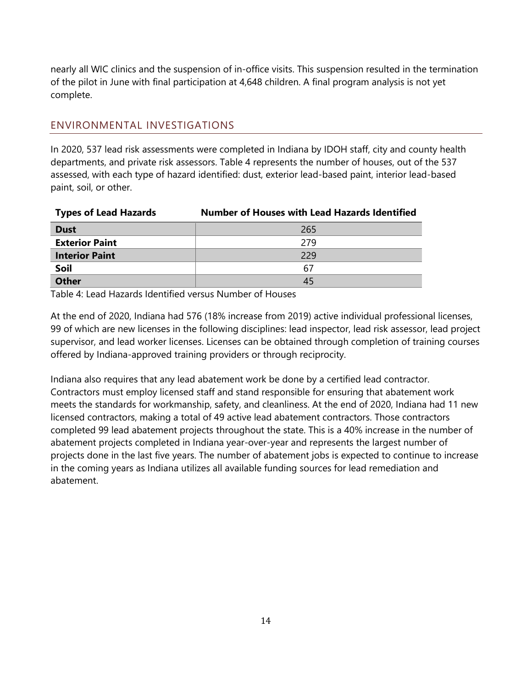nearly all WIC clinics and the suspension of in-office visits. This suspension resulted in the termination of the pilot in June with final participation at 4,648 children. A final program analysis is not yet complete.

#### <span id="page-13-0"></span>ENVIRONMENTAL INVESTIGATIONS

In 2020, 537 lead risk assessments were completed in Indiana by IDOH staff, city and county health departments, and private risk assessors. Table 4 represents the number of houses, out of the 537 assessed, with each type of hazard identified: dust, exterior lead-based paint, interior lead-based paint, soil, or other.

| <b>Types of Lead Hazards</b> | <b>Number of Houses with Lead Hazards Identified</b> |
|------------------------------|------------------------------------------------------|
| <b>Dust</b>                  | 265                                                  |
| <b>Exterior Paint</b>        | 279                                                  |
| <b>Interior Paint</b>        | 229                                                  |
| Soil                         | 67                                                   |
| <b>Other</b>                 | 45                                                   |

Table 4: Lead Hazards Identified versus Number of Houses

At the end of 2020, Indiana had 576 (18% increase from 2019) active individual professional licenses, 99 of which are new licenses in the following disciplines: lead inspector, lead risk assessor, lead project supervisor, and lead worker licenses. Licenses can be obtained through completion of training courses offered by Indiana-approved training providers or through reciprocity.

Indiana also requires that any lead abatement work be done by a certified lead contractor. Contractors must employ licensed staff and stand responsible for ensuring that abatement work meets the standards for workmanship, safety, and cleanliness. At the end of 2020, Indiana had 11 new licensed contractors, making a total of 49 active lead abatement contractors. Those contractors completed 99 lead abatement projects throughout the state. This is a 40% increase in the number of abatement projects completed in Indiana year-over-year and represents the largest number of projects done in the last five years. The number of abatement jobs is expected to continue to increase in the coming years as Indiana utilizes all available funding sources for lead remediation and abatement.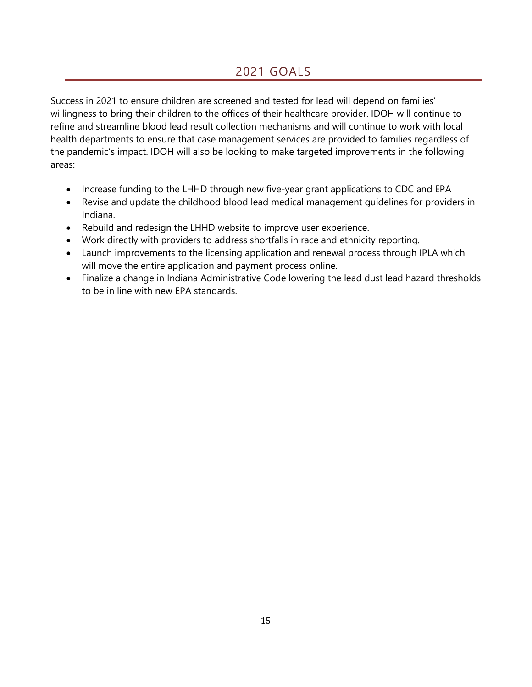# 2021 GOALS

<span id="page-14-0"></span>Success in 2021 to ensure children are screened and tested for lead will depend on families' willingness to bring their children to the offices of their healthcare provider. IDOH will continue to refine and streamline blood lead result collection mechanisms and will continue to work with local health departments to ensure that case management services are provided to families regardless of the pandemic's impact. IDOH will also be looking to make targeted improvements in the following areas:

- Increase funding to the LHHD through new five-year grant applications to CDC and EPA
- Revise and update the childhood blood lead medical management guidelines for providers in Indiana.
- Rebuild and redesign the LHHD website to improve user experience.
- Work directly with providers to address shortfalls in race and ethnicity reporting.
- Launch improvements to the licensing application and renewal process through IPLA which will move the entire application and payment process online.
- Finalize a change in Indiana Administrative Code lowering the lead dust lead hazard thresholds to be in line with new EPA standards.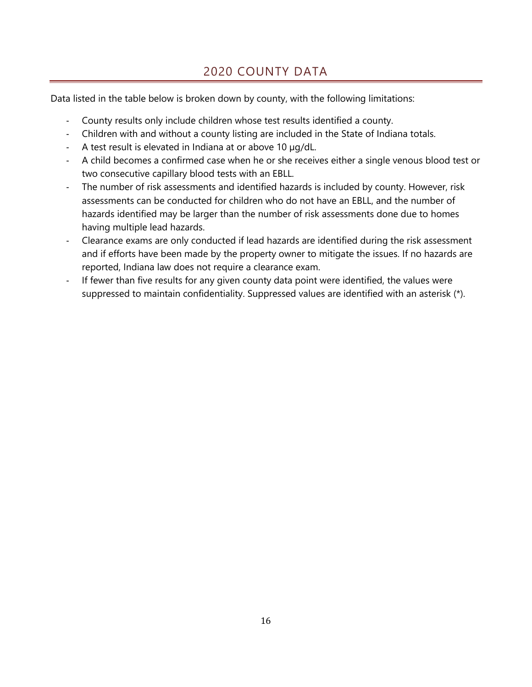# 2020 COUNTY DATA

<span id="page-15-0"></span>Data listed in the table below is broken down by county, with the following limitations:

- County results only include children whose test results identified a county.
- Children with and without a county listing are included in the State of Indiana totals.
- A test result is elevated in Indiana at or above 10 µg/dL.
- A child becomes a confirmed case when he or she receives either a single venous blood test or two consecutive capillary blood tests with an EBLL.
- The number of risk assessments and identified hazards is included by county. However, risk assessments can be conducted for children who do not have an EBLL, and the number of hazards identified may be larger than the number of risk assessments done due to homes having multiple lead hazards.
- Clearance exams are only conducted if lead hazards are identified during the risk assessment and if efforts have been made by the property owner to mitigate the issues. If no hazards are reported, Indiana law does not require a clearance exam.
- If fewer than five results for any given county data point were identified, the values were suppressed to maintain confidentiality. Suppressed values are identified with an asterisk (\*).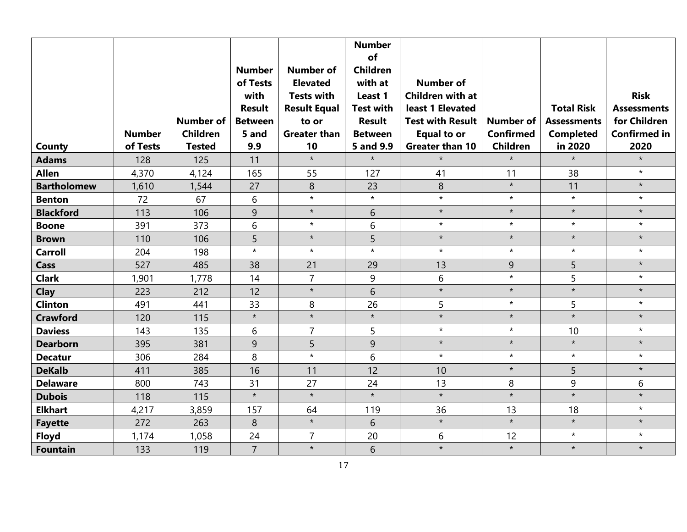| County             | <b>Number</b><br>of Tests | <b>Number of</b><br><b>Children</b><br><b>Tested</b> | <b>Number</b><br>of Tests<br>with<br><b>Result</b><br><b>Between</b><br>5 and<br>9.9 | <b>Number of</b><br><b>Elevated</b><br><b>Tests with</b><br><b>Result Equal</b><br>to or<br><b>Greater than</b><br>10 | <b>Number</b><br>of<br><b>Children</b><br>with at<br>Least 1<br><b>Test with</b><br><b>Result</b><br><b>Between</b><br>5 and 9.9 | <b>Number of</b><br><b>Children with at</b><br>least 1 Elevated<br><b>Test with Result</b><br><b>Equal to or</b><br><b>Greater than 10</b> | <b>Number of</b><br><b>Confirmed</b><br><b>Children</b> | <b>Total Risk</b><br><b>Assessments</b><br><b>Completed</b><br>in 2020 | <b>Risk</b><br><b>Assessments</b><br>for Children<br><b>Confirmed in</b><br>2020 |
|--------------------|---------------------------|------------------------------------------------------|--------------------------------------------------------------------------------------|-----------------------------------------------------------------------------------------------------------------------|----------------------------------------------------------------------------------------------------------------------------------|--------------------------------------------------------------------------------------------------------------------------------------------|---------------------------------------------------------|------------------------------------------------------------------------|----------------------------------------------------------------------------------|
| <b>Adams</b>       | 128                       | 125                                                  | 11                                                                                   | $\star$                                                                                                               | $\star$                                                                                                                          | $\star$                                                                                                                                    | $\star$                                                 | $\star$                                                                | $\star$                                                                          |
| <b>Allen</b>       | 4,370                     | 4,124                                                | 165                                                                                  | 55                                                                                                                    | 127                                                                                                                              | 41                                                                                                                                         | 11                                                      | 38                                                                     | $\star$                                                                          |
| <b>Bartholomew</b> | 1,610                     | 1,544                                                | 27                                                                                   | 8                                                                                                                     | 23                                                                                                                               | $\,8\,$                                                                                                                                    | $\star$                                                 | 11                                                                     | $\star$                                                                          |
| <b>Benton</b>      | 72                        | 67                                                   | 6                                                                                    | $\star$                                                                                                               | $\star$                                                                                                                          | $\star$                                                                                                                                    | $\star$                                                 | $\star$                                                                | $\star$                                                                          |
| <b>Blackford</b>   | 113                       | 106                                                  | 9                                                                                    | $\star$                                                                                                               | 6                                                                                                                                | $\star$                                                                                                                                    | $\star$                                                 | $\star$                                                                | $\star$                                                                          |
| <b>Boone</b>       | 391                       | 373                                                  | 6                                                                                    | $\star$                                                                                                               | 6                                                                                                                                | $\star$                                                                                                                                    | $\star$                                                 | $\star$                                                                | $\star$                                                                          |
| <b>Brown</b>       | 110                       | 106                                                  | 5                                                                                    | $\star$                                                                                                               | $\overline{5}$                                                                                                                   | $\star$                                                                                                                                    | $\star$                                                 | $\star$                                                                | $\star$                                                                          |
| <b>Carroll</b>     | 204                       | 198                                                  | $\star$                                                                              | $\star$                                                                                                               | $\star$                                                                                                                          | $\star$                                                                                                                                    | $\star$                                                 | $\star$                                                                | $\star$                                                                          |
| Cass               | 527                       | 485                                                  | 38                                                                                   | 21                                                                                                                    | 29                                                                                                                               | 13                                                                                                                                         | 9                                                       | 5                                                                      | $\star$                                                                          |
| <b>Clark</b>       | 1,901                     | 1,778                                                | 14                                                                                   | $\overline{7}$                                                                                                        | 9                                                                                                                                | 6                                                                                                                                          | $\star$                                                 | 5                                                                      | $\star$                                                                          |
| Clay               | 223                       | 212                                                  | 12                                                                                   | $\star$                                                                                                               | 6                                                                                                                                | $\star$                                                                                                                                    | $\star$                                                 | $\star$                                                                | $\star$                                                                          |
| <b>Clinton</b>     | 491                       | 441                                                  | 33                                                                                   | 8                                                                                                                     | 26                                                                                                                               | 5                                                                                                                                          | $\star$                                                 | 5                                                                      | $\star$                                                                          |
| <b>Crawford</b>    | 120                       | 115                                                  | $\star$                                                                              | $\star$                                                                                                               | $\star$                                                                                                                          | $\star$                                                                                                                                    | $\star$                                                 | $\star$                                                                | $\star$                                                                          |
| <b>Daviess</b>     | 143                       | 135                                                  | 6                                                                                    | $\overline{7}$                                                                                                        | 5                                                                                                                                | $\star$                                                                                                                                    | $\star$                                                 | 10                                                                     | $\star$                                                                          |
| <b>Dearborn</b>    | 395                       | 381                                                  | 9                                                                                    | 5                                                                                                                     | 9                                                                                                                                | $\star$                                                                                                                                    | $\star$                                                 | $\star$                                                                | $\star$                                                                          |
| <b>Decatur</b>     | 306                       | 284                                                  | 8                                                                                    | $\star$                                                                                                               | 6                                                                                                                                | $\star$                                                                                                                                    | $\star$                                                 | $\star$                                                                | $\star$                                                                          |
| <b>DeKalb</b>      | 411                       | 385                                                  | 16                                                                                   | 11                                                                                                                    | 12                                                                                                                               | 10                                                                                                                                         | $\star$                                                 | 5                                                                      | $\star$                                                                          |
| <b>Delaware</b>    | 800                       | 743                                                  | 31                                                                                   | 27                                                                                                                    | 24                                                                                                                               | 13                                                                                                                                         | 8                                                       | 9                                                                      | 6                                                                                |
| <b>Dubois</b>      | 118                       | 115                                                  | $\star$                                                                              | $\star$                                                                                                               | $\star$                                                                                                                          | $\star$                                                                                                                                    | $\star$                                                 | $\star$                                                                | $\star$                                                                          |
| <b>Elkhart</b>     | 4,217                     | 3,859                                                | 157                                                                                  | 64                                                                                                                    | 119                                                                                                                              | 36                                                                                                                                         | 13                                                      | 18                                                                     | $\star$                                                                          |
| <b>Fayette</b>     | 272                       | 263                                                  | 8                                                                                    | $\star$                                                                                                               | 6                                                                                                                                | $\star$                                                                                                                                    | $\star$                                                 | $\star$                                                                | $\star$                                                                          |
| <b>Floyd</b>       | 1,174                     | 1,058                                                | 24                                                                                   | $\overline{7}$                                                                                                        | 20                                                                                                                               | 6                                                                                                                                          | 12                                                      | $\star$                                                                | $\star$                                                                          |
| <b>Fountain</b>    | 133                       | 119                                                  | $\overline{7}$                                                                       | $\star$                                                                                                               | 6                                                                                                                                | $\star$                                                                                                                                    | $\star$                                                 | $\star$                                                                | $\star$                                                                          |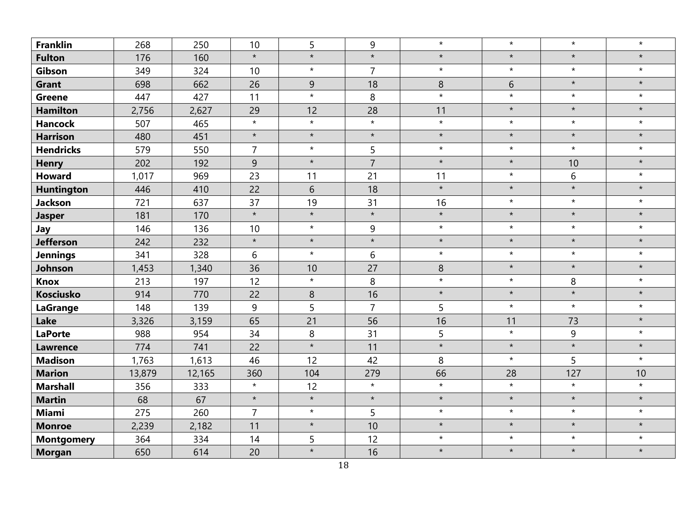| <b>Franklin</b>   | 268    | 250    | 10             | 5       | 9              | $\star$ | $\star$ | $\star$ | $\star$ |
|-------------------|--------|--------|----------------|---------|----------------|---------|---------|---------|---------|
| <b>Fulton</b>     | 176    | 160    | $\star$        | $\star$ | $\star$        | $\star$ | $\star$ | $\star$ | $\star$ |
| Gibson            | 349    | 324    | 10             | $\star$ | $\overline{7}$ | $\star$ | $\star$ | $\star$ | $\star$ |
| <b>Grant</b>      | 698    | 662    | 26             | 9       | 18             | 8       | 6       | $\star$ | $\star$ |
| <b>Greene</b>     | 447    | 427    | 11             | $\star$ | 8              | $\star$ | $\star$ | $\star$ | $\star$ |
| <b>Hamilton</b>   | 2,756  | 2,627  | 29             | 12      | 28             | 11      | $\star$ | $\star$ | $\star$ |
| <b>Hancock</b>    | 507    | 465    | $\star$        | $\star$ | $\star$        | $\star$ | $\star$ | $\star$ | $\star$ |
| <b>Harrison</b>   | 480    | 451    | $\star$        | $\star$ | $\star$        | $\star$ | $\star$ | $\star$ | $\star$ |
| <b>Hendricks</b>  | 579    | 550    | $\overline{7}$ | $\star$ | 5              | $\star$ | $\star$ | $\star$ | $\star$ |
| <b>Henry</b>      | 202    | 192    | 9              | $\star$ | $\overline{7}$ | $\star$ | $\star$ | 10      | $\star$ |
| <b>Howard</b>     | 1,017  | 969    | 23             | 11      | 21             | 11      | $\star$ | 6       | $\star$ |
| <b>Huntington</b> | 446    | 410    | 22             | 6       | 18             | $\star$ | $\star$ | $\star$ | $\star$ |
| <b>Jackson</b>    | 721    | 637    | 37             | 19      | 31             | 16      | $\star$ | $\star$ | $\star$ |
| <b>Jasper</b>     | 181    | 170    | $\star$        | $\star$ | $\star$        | $\star$ | $\star$ | $\star$ | $\star$ |
| Jay               | 146    | 136    | 10             | $\star$ | 9              | $\star$ | $\star$ | $\star$ | $\star$ |
| <b>Jefferson</b>  | 242    | 232    | $\star$        | $\star$ | $\star$        | $\star$ | $\star$ | $\star$ | $\star$ |
| <b>Jennings</b>   | 341    | 328    | 6              | $\star$ | 6              | $\star$ | $\star$ | $\star$ | $\star$ |
| Johnson           | 1,453  | 1,340  | 36             | 10      | 27             | 8       | $\star$ | $\star$ | $\star$ |
| <b>Knox</b>       | 213    | 197    | 12             | $\star$ | 8              | $\star$ | $\star$ | 8       | $\star$ |
| <b>Kosciusko</b>  | 914    | 770    | 22             | 8       | 16             | $\star$ | $\star$ | $\star$ | $\star$ |
| <b>LaGrange</b>   | 148    | 139    | 9              | 5       | $\overline{7}$ | 5       | $\star$ | $\star$ | $\star$ |
| Lake              | 3,326  | 3,159  | 65             | 21      | 56             | 16      | 11      | 73      | $\star$ |
| <b>LaPorte</b>    | 988    | 954    | 34             | $\,8\,$ | 31             | 5       | $\star$ | 9       | $\star$ |
| <b>Lawrence</b>   | 774    | 741    | 22             | $\star$ | 11             | $\star$ | $\star$ | $\star$ | $\star$ |
| <b>Madison</b>    | 1,763  | 1,613  | 46             | 12      | 42             | 8       | $\star$ | 5       | $\star$ |
| <b>Marion</b>     | 13,879 | 12,165 | 360            | 104     | 279            | 66      | 28      | 127     | 10      |
| <b>Marshall</b>   | 356    | 333    | $\star$        | 12      | $\star$        | $\star$ | $\star$ | $\star$ | $\star$ |
| <b>Martin</b>     | 68     | 67     | $\star$        | $\star$ | $\star$        | $\star$ | $\star$ | $\star$ | $\star$ |
| <b>Miami</b>      | 275    | 260    | $\overline{7}$ | $\star$ | 5              | $\star$ | $\star$ | $\star$ | $\star$ |
| <b>Monroe</b>     | 2,239  | 2,182  | 11             | $\star$ | 10             | $\star$ | $\star$ | $\star$ | $\star$ |
| <b>Montgomery</b> | 364    | 334    | 14             | 5       | 12             | $\star$ | $\star$ | $\star$ | $\star$ |
| <b>Morgan</b>     | 650    | 614    | 20             | $\star$ | 16             | $\star$ | $\star$ | $\star$ | $\star$ |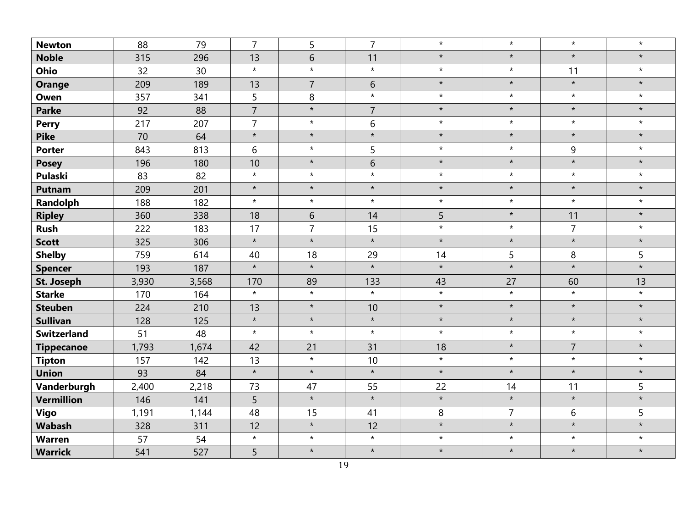| <b>Newton</b>      | 88    | 79    | $\overline{7}$ | 5              | $\overline{7}$ | $\star$ | $\star$        | $\star$        | $\star$ |
|--------------------|-------|-------|----------------|----------------|----------------|---------|----------------|----------------|---------|
| <b>Noble</b>       | 315   | 296   | 13             | $\sqrt{6}$     | 11             | $\star$ | $\star$        | $\star$        | $\star$ |
| <b>Ohio</b>        | 32    | 30    | $\star$        | $\star$        | $\star$        | $\star$ | $\star$        | 11             | $\star$ |
| <b>Orange</b>      | 209   | 189   | 13             | $\overline{7}$ | 6              | $\star$ | $\star$        | $\star$        | $\star$ |
| Owen               | 357   | 341   | 5              | 8              | $\star$        | $\star$ | $\star$        | $\star$        | $\star$ |
| <b>Parke</b>       | 92    | 88    | $\overline{7}$ | $\star$        | $\overline{7}$ | $\star$ | $\star$        | $\star$        | $\star$ |
| <b>Perry</b>       | 217   | 207   | $\overline{7}$ | $\star$        | 6              | $\star$ | $\star$        | $\star$        | $\star$ |
| <b>Pike</b>        | 70    | 64    | $\star$        | $\star$        | $\star$        | $\star$ | $\star$        | $\star$        | $\star$ |
| <b>Porter</b>      | 843   | 813   | 6              | $\star$        | 5              | $\star$ | $\star$        | 9              | $\star$ |
| <b>Posey</b>       | 196   | 180   | 10             | $\star$        | 6              | $\star$ | $\star$        | $\star$        | $\star$ |
| <b>Pulaski</b>     | 83    | 82    | $\star$        | $\star$        | $\star$        | $\star$ | $\star$        | $\star$        | $\star$ |
| <b>Putnam</b>      | 209   | 201   | $\star$        | $\star$        | $\star$        | $\star$ | $\star$        | $\star$        | $\star$ |
| Randolph           | 188   | 182   | $\star$        | $\star$        | $\star$        | $\star$ | $\star$        | $\star$        | $\star$ |
| <b>Ripley</b>      | 360   | 338   | 18             | 6              | 14             | 5       | $\star$        | 11             | $\star$ |
| <b>Rush</b>        | 222   | 183   | 17             | $\overline{7}$ | 15             | $\star$ | $\star$        | $\overline{7}$ | $\star$ |
| <b>Scott</b>       | 325   | 306   | $\star$        | $\star$        | $\star$        | $\star$ | $\star$        | $\star$        | $\star$ |
| <b>Shelby</b>      | 759   | 614   | 40             | 18             | 29             | 14      | 5              | 8              | 5       |
| <b>Spencer</b>     | 193   | 187   | $\star$        | $\star$        | $\star$        | $\star$ | $\star$        | $\star$        | $\star$ |
| <b>St. Joseph</b>  | 3,930 | 3,568 | 170            | 89             | 133            | 43      | 27             | 60             | 13      |
| <b>Starke</b>      | 170   | 164   | $\star$        | $\star$        | $\star$        | $\star$ | $\star$        | $\star$        | $\star$ |
| <b>Steuben</b>     | 224   | 210   | 13             | $\star$        | 10             | $\star$ | $\star$        | $\star$        | $\star$ |
| <b>Sullivan</b>    | 128   | 125   | $\star$        | $\star$        | $\star$        | $\star$ | $\star$        | $\star$        | $\star$ |
| <b>Switzerland</b> | 51    | 48    | $\star$        | $\star$        | $\star$        | $\star$ | $\star$        | $\star$        | $\star$ |
| <b>Tippecanoe</b>  | 1,793 | 1,674 | 42             | 21             | 31             | 18      | $\star$        | $\overline{7}$ | $\star$ |
| <b>Tipton</b>      | 157   | 142   | 13             | $\star$        | 10             | $\star$ | $\star$        | $\star$        | $\star$ |
| <b>Union</b>       | 93    | 84    | $\star$        | $\star$        | $\star$        | $\star$ | $\star$        | $\star$        | $\star$ |
| Vanderburgh        | 2,400 | 2,218 | 73             | 47             | 55             | 22      | 14             | 11             | 5       |
| <b>Vermillion</b>  | 146   | 141   | 5              | $\star$        | $\star$        | $\star$ | $\star$        | $\star$        | $\star$ |
| Vigo               | 1,191 | 1,144 | 48             | 15             | 41             | 8       | $\overline{7}$ | 6              | 5       |
| <b>Wabash</b>      | 328   | 311   | 12             | $\star$        | 12             | $\star$ | $\star$        | $\star$        | $\star$ |
| <b>Warren</b>      | 57    | 54    | $\star$        | $\star$        | $\star$        | $\star$ | $\star$        | $\star$        | $\star$ |
| <b>Warrick</b>     | 541   | 527   | 5              | $\star$        | $\star$        | $\star$ | $\star$        | $\star$        | $\star$ |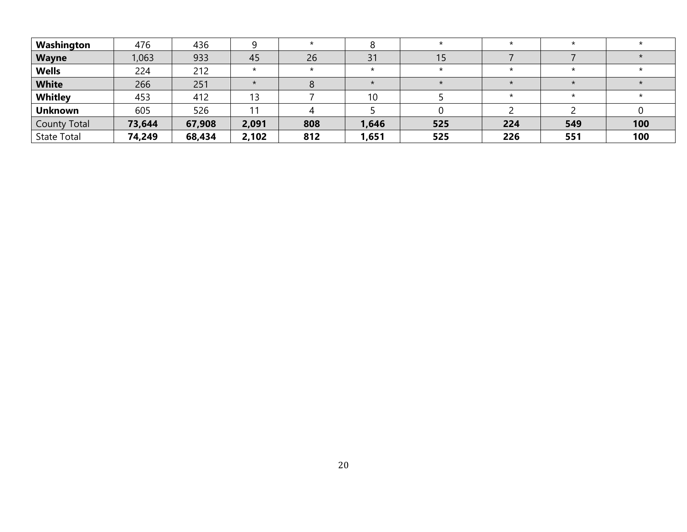| Washington          | 476    | 436    |         |         |         |     |     |     |     |
|---------------------|--------|--------|---------|---------|---------|-----|-----|-----|-----|
| <b>Wayne</b>        | 1,063  | 933    | 45      | 26      | 31      | 15  |     |     |     |
| <b>Wells</b>        | 224    | 212    | $\star$ | $\star$ | $\star$ |     |     |     |     |
| <b>White</b>        | 266    | 251    |         |         |         |     |     |     |     |
| Whitley             | 453    | 412    |         |         | 10      |     |     |     |     |
| <b>Unknown</b>      | 605    | 526    |         |         |         |     |     |     |     |
| <b>County Total</b> | 73,644 | 67,908 | 2,091   | 808     | 1,646   | 525 | 224 | 549 | 100 |
| <b>State Total</b>  | 74,249 | 68,434 | 2,102   | 812     | 1,651   | 525 | 226 | 551 | 100 |